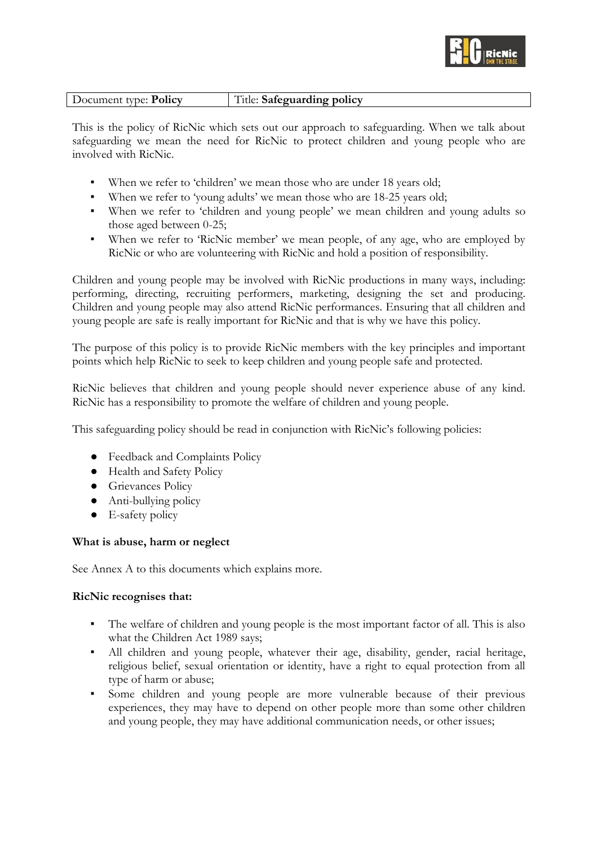

### Document type: **Policy** Title: **Safeguarding policy**

This is the policy of RicNic which sets out our approach to safeguarding. When we talk about safeguarding we mean the need for RicNic to protect children and young people who are involved with RicNic.

- When we refer to 'children' we mean those who are under 18 years old;
- When we refer to 'young adults' we mean those who are 18-25 years old;
- When we refer to 'children and young people' we mean children and young adults so those aged between 0-25;
- When we refer to 'RicNic member' we mean people, of any age, who are employed by RicNic or who are volunteering with RicNic and hold a position of responsibility.

Children and young people may be involved with RicNic productions in many ways, including: performing, directing, recruiting performers, marketing, designing the set and producing. Children and young people may also attend RicNic performances. Ensuring that all children and young people are safe is really important for RicNic and that is why we have this policy.

The purpose of this policy is to provide RicNic members with the key principles and important points which help RicNic to seek to keep children and young people safe and protected.

RicNic believes that children and young people should never experience abuse of any kind. RicNic has a responsibility to promote the welfare of children and young people.

This safeguarding policy should be read in conjunction with RicNic's following policies:

- Feedback and Complaints Policy
- Health and Safety Policy
- Grievances Policy
- Anti-bullying policy
- E-safety policy

## **What is abuse, harm or neglect**

See Annex A to this documents which explains more.

#### **RicNic recognises that:**

- The welfare of children and young people is the most important factor of all. This is also what the Children Act 1989 says;
- All children and young people, whatever their age, disability, gender, racial heritage, religious belief, sexual orientation or identity, have a right to equal protection from all type of harm or abuse;
- Some children and young people are more vulnerable because of their previous experiences, they may have to depend on other people more than some other children and young people, they may have additional communication needs, or other issues;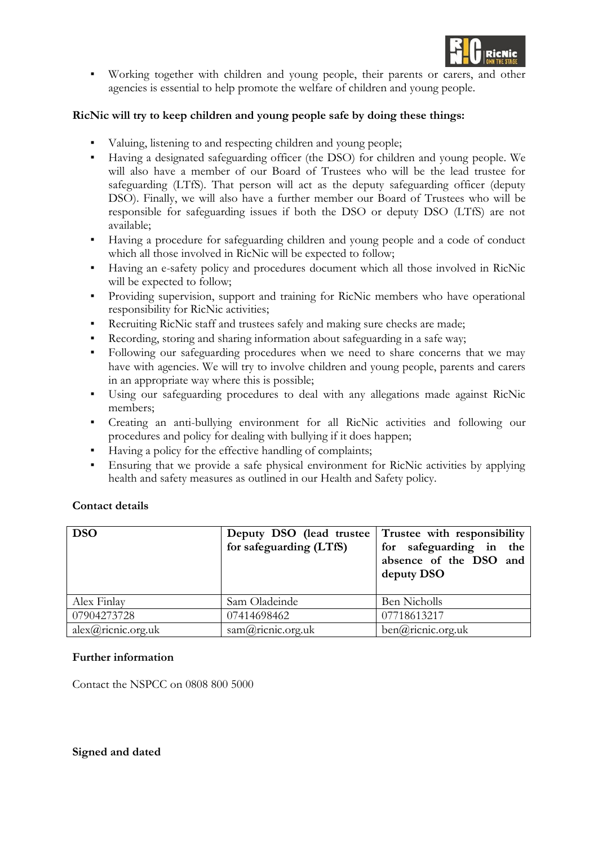

▪ Working together with children and young people, their parents or carers, and other agencies is essential to help promote the welfare of children and young people.

## **RicNic will try to keep children and young people safe by doing these things:**

- Valuing, listening to and respecting children and young people;
- Having a designated safeguarding officer (the DSO) for children and young people. We will also have a member of our Board of Trustees who will be the lead trustee for safeguarding (LTfS). That person will act as the deputy safeguarding officer (deputy DSO). Finally, we will also have a further member our Board of Trustees who will be responsible for safeguarding issues if both the DSO or deputy DSO (LTfS) are not available;
- Having a procedure for safeguarding children and young people and a code of conduct which all those involved in RicNic will be expected to follow;
- Having an e-safety policy and procedures document which all those involved in RicNic will be expected to follow;
- **•** Providing supervision, support and training for RicNic members who have operational responsibility for RicNic activities;
- Recruiting RicNic staff and trustees safely and making sure checks are made;
- Recording, storing and sharing information about safeguarding in a safe way;
- Following our safeguarding procedures when we need to share concerns that we may have with agencies. We will try to involve children and young people, parents and carers in an appropriate way where this is possible;
- Using our safeguarding procedures to deal with any allegations made against RicNic members;
- Creating an anti-bullying environment for all RicNic activities and following our procedures and policy for dealing with bullying if it does happen;
- Having a policy for the effective handling of complaints;
- Ensuring that we provide a safe physical environment for RicNic activities by applying health and safety measures as outlined in our Health and Safety policy.

## **Contact details**

| <b>DSO</b>                   | Deputy DSO (lead trustee Trustee with responsibility<br>for safeguarding (LTfS) | for safeguarding in the<br>absence of the DSO and<br>deputy DSO |
|------------------------------|---------------------------------------------------------------------------------|-----------------------------------------------------------------|
| Alex Finlay                  | Sam Oladeinde                                                                   | Ben Nicholls                                                    |
| 07904273728                  | 07414698462                                                                     | 07718613217                                                     |
| $alex(\omega)$ ricnic.org.uk | sam@ricnic.org.uk                                                               | $ben(\hat{\omega})$ ricnic.org.uk                               |

## **Further information**

Contact the NSPCC on 0808 800 5000

**Signed and dated**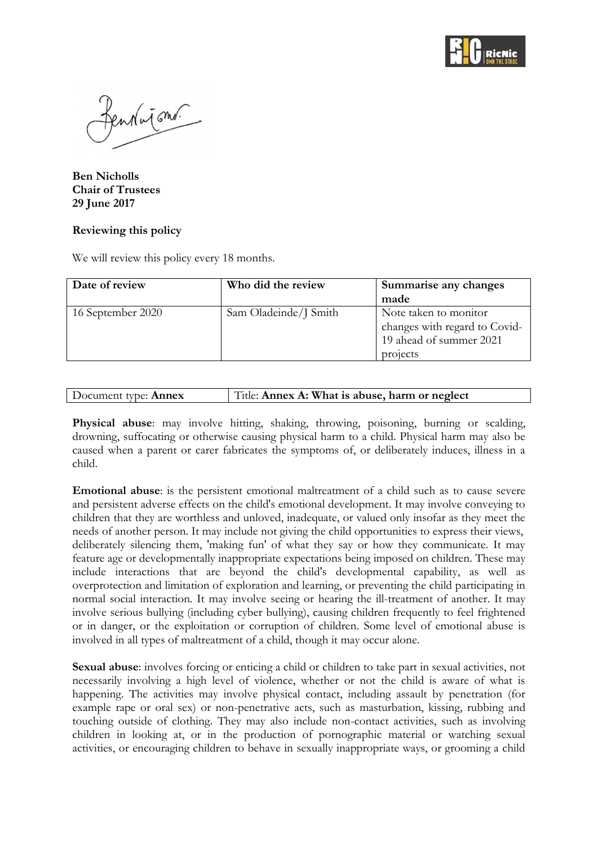

entinomé.

**Ben Nicholls Chair of Trustees 29 June 2017**

### **Reviewing this policy**

We will review this policy every 18 months.

| Date of review    | Who did the review    | Summarise any changes         |
|-------------------|-----------------------|-------------------------------|
|                   |                       | made                          |
| 16 September 2020 | Sam Oladeinde/J Smith | Note taken to monitor         |
|                   |                       | changes with regard to Covid- |
|                   |                       | 19 ahead of summer 2021       |
|                   |                       | projects                      |

| Document type: <b>Annex</b> | Title: Annex A: What is abuse, harm or neglect |
|-----------------------------|------------------------------------------------|
|                             |                                                |

**Physical abuse**: may involve hitting, shaking, throwing, poisoning, burning or scalding, drowning, suffocating or otherwise causing physical harm to a child. Physical harm may also be caused when a parent or carer fabricates the symptoms of, or deliberately induces, illness in a child.

**Emotional abuse**: is the persistent emotional maltreatment of a child such as to cause severe and persistent adverse effects on the child's emotional development. It may involve conveying to children that they are worthless and unloved, inadequate, or valued only insofar as they meet the needs of another person. It may include not giving the child opportunities to express their views, deliberately silencing them, 'making fun' of what they say or how they communicate. It may feature age or developmentally inappropriate expectations being imposed on children. These may include interactions that are beyond the child's developmental capability, as well as overprotection and limitation of exploration and learning, or preventing the child participating in normal social interaction. It may involve seeing or hearing the ill-treatment of another. It may involve serious bullying (including cyber bullying), causing children frequently to feel frightened or in danger, or the exploitation or corruption of children. Some level of emotional abuse is involved in all types of maltreatment of a child, though it may occur alone.

**Sexual abuse**: involves forcing or enticing a child or children to take part in sexual activities, not necessarily involving a high level of violence, whether or not the child is aware of what is happening. The activities may involve physical contact, including assault by penetration (for example rape or oral sex) or non-penetrative acts, such as masturbation, kissing, rubbing and touching outside of clothing. They may also include non-contact activities, such as involving children in looking at, or in the production of pornographic material or watching sexual activities, or encouraging children to behave in sexually inappropriate ways, or grooming a child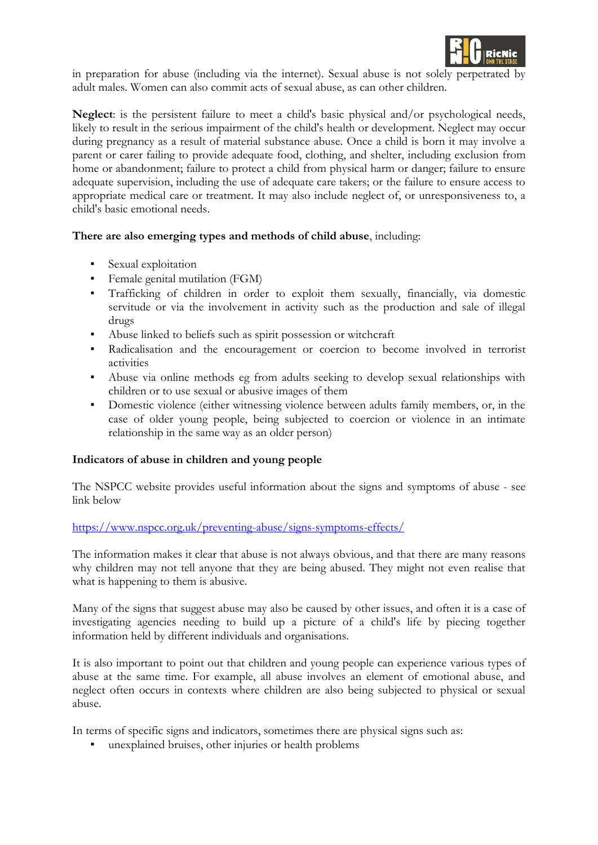

in preparation for abuse (including via the internet). Sexual abuse is not solely perpetrated by adult males. Women can also commit acts of sexual abuse, as can other children.

**Neglect**: is the persistent failure to meet a child's basic physical and/or psychological needs, likely to result in the serious impairment of the child's health or development. Neglect may occur during pregnancy as a result of material substance abuse. Once a child is born it may involve a parent or carer failing to provide adequate food, clothing, and shelter, including exclusion from home or abandonment; failure to protect a child from physical harm or danger; failure to ensure adequate supervision, including the use of adequate care takers; or the failure to ensure access to appropriate medical care or treatment. It may also include neglect of, or unresponsiveness to, a child's basic emotional needs.

## **There are also emerging types and methods of child abuse**, including:

- Sexual exploitation
- **•** Female genital mutilation (FGM)
- Trafficking of children in order to exploit them sexually, financially, via domestic servitude or via the involvement in activity such as the production and sale of illegal drugs
- Abuse linked to beliefs such as spirit possession or witchcraft
- Radicalisation and the encouragement or coercion to become involved in terrorist activities
- Abuse via online methods eg from adults seeking to develop sexual relationships with children or to use sexual or abusive images of them
- Domestic violence (either witnessing violence between adults family members, or, in the case of older young people, being subjected to coercion or violence in an intimate relationship in the same way as an older person)

## **Indicators of abuse in children and young people**

The NSPCC website provides useful information about the signs and symptoms of abuse - see link below

## <https://www.nspcc.org.uk/preventing-abuse/signs-symptoms-effects/>

The information makes it clear that abuse is not always obvious, and that there are many reasons why children may not tell anyone that they are being abused. They might not even realise that what is happening to them is abusive.

Many of the signs that suggest abuse may also be caused by other issues, and often it is a case of investigating agencies needing to build up a picture of a child's life by piecing together information held by different individuals and organisations.

It is also important to point out that children and young people can experience various types of abuse at the same time. For example, all abuse involves an element of emotional abuse, and neglect often occurs in contexts where children are also being subjected to physical or sexual abuse.

In terms of specific signs and indicators, sometimes there are physical signs such as:

▪ unexplained bruises, other injuries or health problems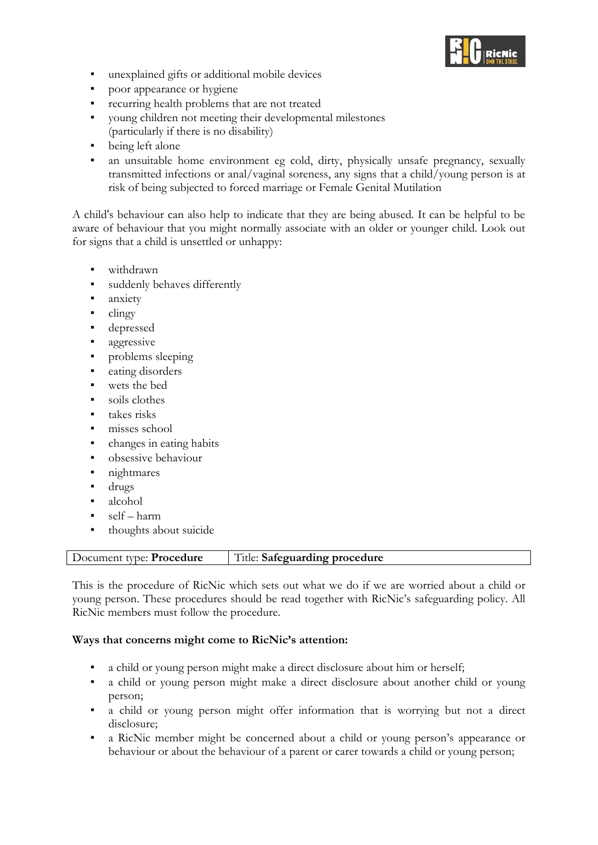

- unexplained gifts or additional mobile devices
- poor appearance or hygiene
- recurring health problems that are not treated
- young children not meeting their developmental milestones (particularly if there is no disability)
- being left alone
- an unsuitable home environment eg cold, dirty, physically unsafe pregnancy, sexually transmitted infections or anal/vaginal soreness, any signs that a child/young person is at risk of being subjected to forced marriage or Female Genital Mutilation

A child's behaviour can also help to indicate that they are being abused. It can be helpful to be aware of behaviour that you might normally associate with an older or younger child. Look out for signs that a child is unsettled or unhappy:

- withdrawn
- suddenly behaves differently
- anxiety
- clingy
- depressed
- **aggressive**
- problems sleeping
- eating disorders
- wets the bed
- soils clothes
- takes risks
- misses school
- changes in eating habits
- obsessive behaviour
- nightmares
- drugs
- alcohol
- $self harm$
- thoughts about suicide

| Document type: <b>Procedure</b> | Title: Safeguarding procedure |
|---------------------------------|-------------------------------|
|---------------------------------|-------------------------------|

This is the procedure of RicNic which sets out what we do if we are worried about a child or young person. These procedures should be read together with RicNic's safeguarding policy. All RicNic members must follow the procedure.

## **Ways that concerns might come to RicNic's attention:**

- a child or young person might make a direct disclosure about him or herself;
- a child or young person might make a direct disclosure about another child or young person;
- a child or young person might offer information that is worrying but not a direct disclosure;
- a RicNic member might be concerned about a child or young person's appearance or behaviour or about the behaviour of a parent or carer towards a child or young person;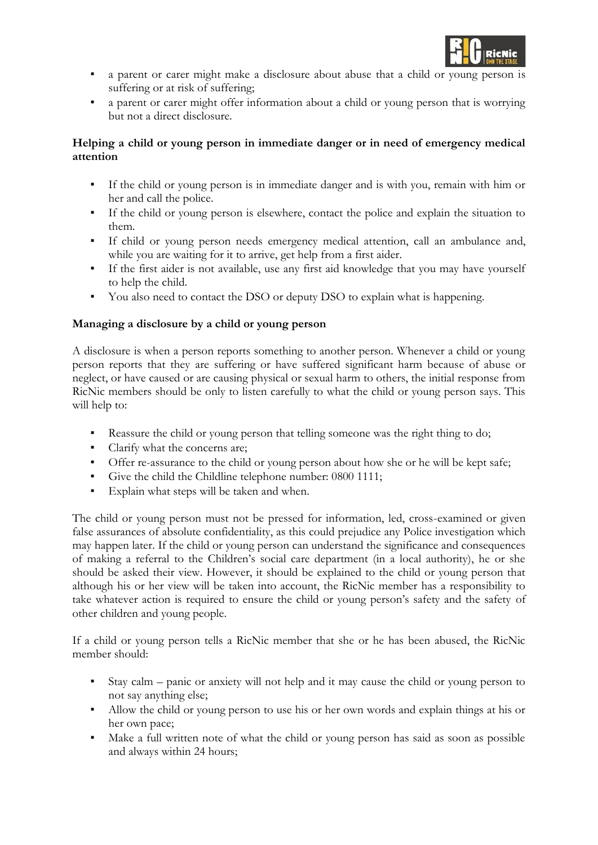

- a parent or carer might make a disclosure about abuse that a child or young person is suffering or at risk of suffering;
- a parent or carer might offer information about a child or young person that is worrying but not a direct disclosure.

# **Helping a child or young person in immediate danger or in need of emergency medical attention**

- If the child or young person is in immediate danger and is with you, remain with him or her and call the police.
- If the child or young person is elsewhere, contact the police and explain the situation to them.
- If child or young person needs emergency medical attention, call an ambulance and, while you are waiting for it to arrive, get help from a first aider.
- If the first aider is not available, use any first aid knowledge that you may have yourself to help the child.
- You also need to contact the DSO or deputy DSO to explain what is happening.

# **Managing a disclosure by a child or young person**

A disclosure is when a person reports something to another person. Whenever a child or young person reports that they are suffering or have suffered significant harm because of abuse or neglect, or have caused or are causing physical or sexual harm to others, the initial response from RicNic members should be only to listen carefully to what the child or young person says. This will help to:

- Reassure the child or young person that telling someone was the right thing to do;
- Clarify what the concerns are;
- Offer re-assurance to the child or young person about how she or he will be kept safe;
- Give the child the Childline telephone number: 0800 1111;
- Explain what steps will be taken and when.

The child or young person must not be pressed for information, led, cross-examined or given false assurances of absolute confidentiality, as this could prejudice any Police investigation which may happen later. If the child or young person can understand the significance and consequences of making a referral to the Children's social care department (in a local authority), he or she should be asked their view. However, it should be explained to the child or young person that although his or her view will be taken into account, the RicNic member has a responsibility to take whatever action is required to ensure the child or young person's safety and the safety of other children and young people.

If a child or young person tells a RicNic member that she or he has been abused, the RicNic member should:

- Stay calm panic or anxiety will not help and it may cause the child or young person to not say anything else;
- Allow the child or young person to use his or her own words and explain things at his or her own pace;
- Make a full written note of what the child or young person has said as soon as possible and always within 24 hours;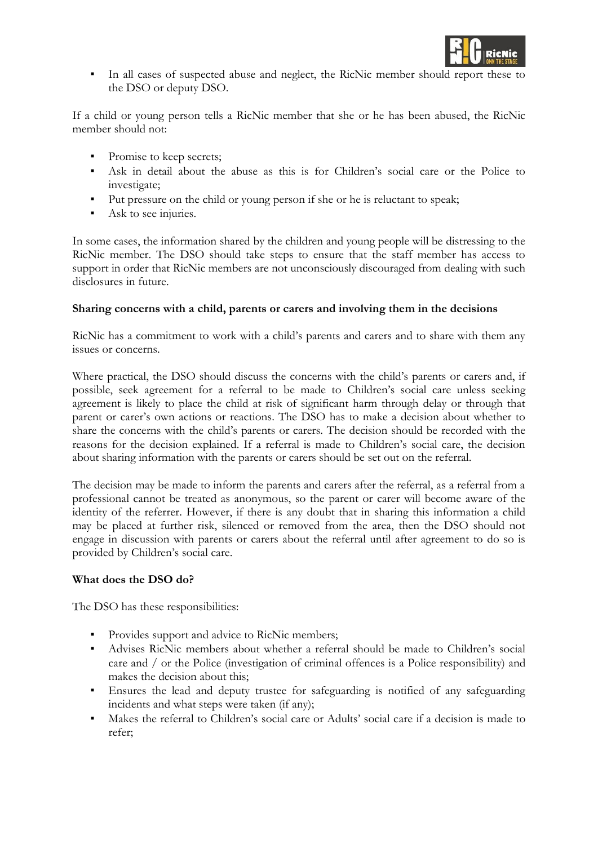

▪ In all cases of suspected abuse and neglect, the RicNic member should report these to the DSO or deputy DSO.

If a child or young person tells a RicNic member that she or he has been abused, the RicNic member should not:

- Promise to keep secrets;
- Ask in detail about the abuse as this is for Children's social care or the Police to investigate;
- Put pressure on the child or young person if she or he is reluctant to speak;
- Ask to see injuries.

In some cases, the information shared by the children and young people will be distressing to the RicNic member. The DSO should take steps to ensure that the staff member has access to support in order that RicNic members are not unconsciously discouraged from dealing with such disclosures in future.

## **Sharing concerns with a child, parents or carers and involving them in the decisions**

RicNic has a commitment to work with a child's parents and carers and to share with them any issues or concerns.

Where practical, the DSO should discuss the concerns with the child's parents or carers and, if possible, seek agreement for a referral to be made to Children's social care unless seeking agreement is likely to place the child at risk of significant harm through delay or through that parent or carer's own actions or reactions. The DSO has to make a decision about whether to share the concerns with the child's parents or carers. The decision should be recorded with the reasons for the decision explained. If a referral is made to Children's social care, the decision about sharing information with the parents or carers should be set out on the referral.

The decision may be made to inform the parents and carers after the referral, as a referral from a professional cannot be treated as anonymous, so the parent or carer will become aware of the identity of the referrer. However, if there is any doubt that in sharing this information a child may be placed at further risk, silenced or removed from the area, then the DSO should not engage in discussion with parents or carers about the referral until after agreement to do so is provided by Children's social care.

## **What does the DSO do?**

The DSO has these responsibilities:

- **•** Provides support and advice to RicNic members;
- Advises RicNic members about whether a referral should be made to Children's social care and / or the Police (investigation of criminal offences is a Police responsibility) and makes the decision about this;
- Ensures the lead and deputy trustee for safeguarding is notified of any safeguarding incidents and what steps were taken (if any);
- Makes the referral to Children's social care or Adults' social care if a decision is made to refer;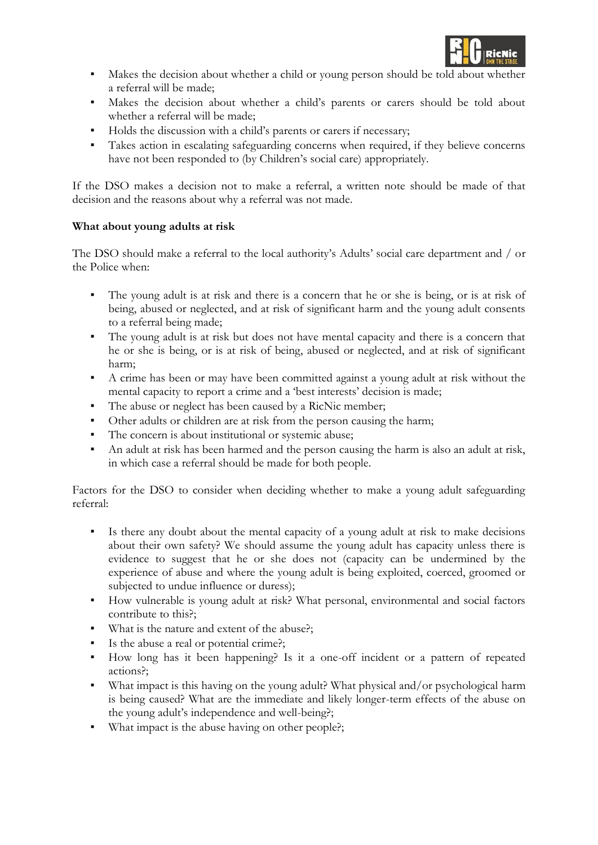

- Makes the decision about whether a child or young person should be told about whether a referral will be made;
- Makes the decision about whether a child's parents or carers should be told about whether a referral will be made;
- Holds the discussion with a child's parents or carers if necessary;
- Takes action in escalating safeguarding concerns when required, if they believe concerns have not been responded to (by Children's social care) appropriately.

If the DSO makes a decision not to make a referral, a written note should be made of that decision and the reasons about why a referral was not made.

## **What about young adults at risk**

The DSO should make a referral to the local authority's Adults' social care department and / or the Police when:

- The young adult is at risk and there is a concern that he or she is being, or is at risk of being, abused or neglected, and at risk of significant harm and the young adult consents to a referral being made;
- The young adult is at risk but does not have mental capacity and there is a concern that he or she is being, or is at risk of being, abused or neglected, and at risk of significant harm;
- A crime has been or may have been committed against a young adult at risk without the mental capacity to report a crime and a 'best interests' decision is made;
- The abuse or neglect has been caused by a RicNic member;
- Other adults or children are at risk from the person causing the harm;
- The concern is about institutional or systemic abuse;
- An adult at risk has been harmed and the person causing the harm is also an adult at risk, in which case a referral should be made for both people.

Factors for the DSO to consider when deciding whether to make a young adult safeguarding referral:

- Is there any doubt about the mental capacity of a young adult at risk to make decisions about their own safety? We should assume the young adult has capacity unless there is evidence to suggest that he or she does not (capacity can be undermined by the experience of abuse and where the young adult is being exploited, coerced, groomed or subjected to undue influence or duress);
- How vulnerable is young adult at risk? What personal, environmental and social factors contribute to this?;
- What is the nature and extent of the abuse?;
- Is the abuse a real or potential crime?;
- How long has it been happening? Is it a one-off incident or a pattern of repeated actions?;
- What impact is this having on the young adult? What physical and/or psychological harm is being caused? What are the immediate and likely longer-term effects of the abuse on the young adult's independence and well-being?;
- What impact is the abuse having on other people?;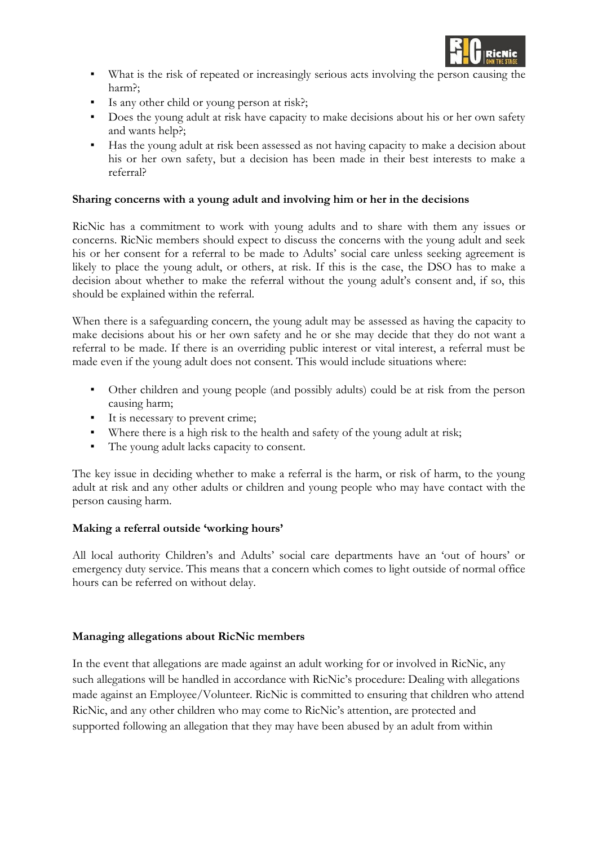

- What is the risk of repeated or increasingly serious acts involving the person causing the harm?;
- Is any other child or young person at risk?;
- Does the young adult at risk have capacity to make decisions about his or her own safety and wants help?;
- Has the young adult at risk been assessed as not having capacity to make a decision about his or her own safety, but a decision has been made in their best interests to make a referral?

### **Sharing concerns with a young adult and involving him or her in the decisions**

RicNic has a commitment to work with young adults and to share with them any issues or concerns. RicNic members should expect to discuss the concerns with the young adult and seek his or her consent for a referral to be made to Adults' social care unless seeking agreement is likely to place the young adult, or others, at risk. If this is the case, the DSO has to make a decision about whether to make the referral without the young adult's consent and, if so, this should be explained within the referral.

When there is a safeguarding concern, the young adult may be assessed as having the capacity to make decisions about his or her own safety and he or she may decide that they do not want a referral to be made. If there is an overriding public interest or vital interest, a referral must be made even if the young adult does not consent. This would include situations where:

- Other children and young people (and possibly adults) could be at risk from the person causing harm;
- It is necessary to prevent crime;
- Where there is a high risk to the health and safety of the young adult at risk;
- The young adult lacks capacity to consent.

The key issue in deciding whether to make a referral is the harm, or risk of harm, to the young adult at risk and any other adults or children and young people who may have contact with the person causing harm.

## **Making a referral outside 'working hours'**

All local authority Children's and Adults' social care departments have an 'out of hours' or emergency duty service. This means that a concern which comes to light outside of normal office hours can be referred on without delay.

## **Managing allegations about RicNic members**

In the event that allegations are made against an adult working for or involved in RicNic, any such allegations will be handled in accordance with RicNic's procedure: Dealing with allegations made against an Employee/Volunteer. RicNic is committed to ensuring that children who attend RicNic, and any other children who may come to RicNic's attention, are protected and supported following an allegation that they may have been abused by an adult from within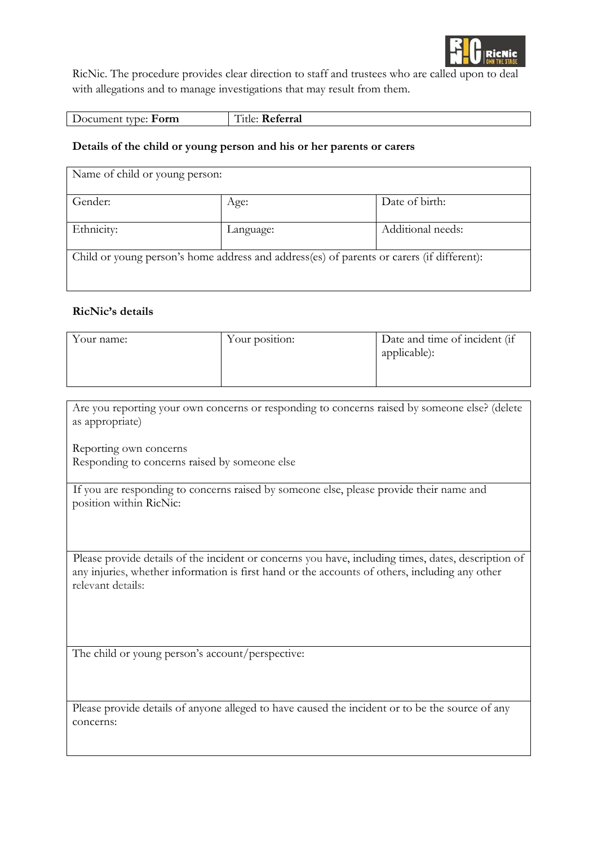

RicNic. The procedure provides clear direction to staff and trustees who are called upon to deal with allegations and to manage investigations that may result from them.

| Document type: Form | Title: Referral |
|---------------------|-----------------|
|                     |                 |

# **Details of the child or young person and his or her parents or carers**

| Name of child or young person:                                                            |           |                   |  |
|-------------------------------------------------------------------------------------------|-----------|-------------------|--|
| Gender:                                                                                   | Age:      | Date of birth:    |  |
| Ethnicity:                                                                                | Language: | Additional needs: |  |
| Child or young person's home address and address(es) of parents or carers (if different): |           |                   |  |

### **RicNic's details**

| Your name: | Your position: | Date and time of incident (if<br>applicable): |
|------------|----------------|-----------------------------------------------|
|------------|----------------|-----------------------------------------------|

| Are you reporting your own concerns or responding to concerns raised by someone else? (delete<br>as appropriate)                                                                                                           |
|----------------------------------------------------------------------------------------------------------------------------------------------------------------------------------------------------------------------------|
| Reporting own concerns<br>Responding to concerns raised by someone else                                                                                                                                                    |
| If you are responding to concerns raised by someone else, please provide their name and<br>position within RicNic:                                                                                                         |
|                                                                                                                                                                                                                            |
| Please provide details of the incident or concerns you have, including times, dates, description of<br>any injuries, whether information is first hand or the accounts of others, including any other<br>relevant details: |
|                                                                                                                                                                                                                            |
| The child or young person's account/perspective:                                                                                                                                                                           |
| Please provide details of anyone alleged to have caused the incident or to be the source of any<br>concerns:                                                                                                               |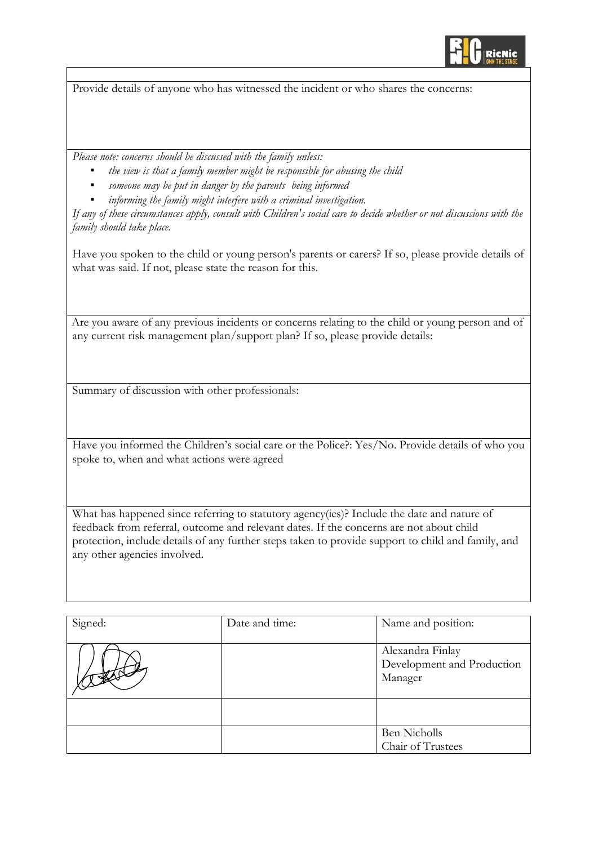

Provide details of anyone who has witnessed the incident or who shares the concerns:

*Please note: concerns should be discussed with the family unless:*

- the view is that a family member might be responsible for abusing the child
- someone may be put in danger by the parents being informed
- informing the family might interfere with a criminal investigation.

*If any of these circumstances apply, consult with Children's social care to decide whether or not discussions with the family should take place.*

Have you spoken to the child or young person's parents or carers? If so, please provide details of what was said. If not, please state the reason for this.

Are you aware of any previous incidents or concerns relating to the child or young person and of any current risk management plan/support plan? If so, please provide details:

Summary of discussion with other professionals:

Have you informed the Children's social care or the Police?: Yes/No. Provide details of who you spoke to, when and what actions were agreed

What has happened since referring to statutory agency(ies)? Include the date and nature of feedback from referral, outcome and relevant dates. If the concerns are not about child protection, include details of any further steps taken to provide support to child and family, and any other agencies involved.

| Signed:       | Date and time: | Name and position:                                        |
|---------------|----------------|-----------------------------------------------------------|
| To the state, |                | Alexandra Finlay<br>Development and Production<br>Manager |
|               |                |                                                           |
|               |                | <b>Ben Nicholls</b><br>Chair of Trustees                  |